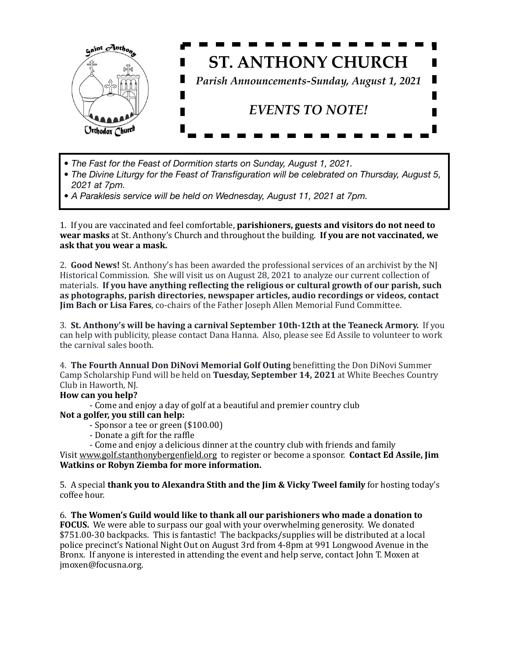

- *• The Fast for the Feast of Dormition starts on Sunday, August 1, 2021.*
- *• The Divine Liturgy for the Feast of Transfiguration will be celebrated on Thursday, August 5, 2021 at 7pm.*
- *• A Paraklesis service will be held on Wednesday, August 11, 2021 at 7pm.*

1. If you are vaccinated and feel comfortable, **parishioners, guests and visitors do not need to wear masks** at St. Anthony's Church and throughout the building. **If you are not vaccinated, we** ask that you wear a mask.

2. **Good News!** St. Anthony's has been awarded the professional services of an archivist by the NJ Historical Commission. She will visit us on August 28, 2021 to analyze our current collection of materials. If you have anything reflecting the religious or cultural growth of our parish, such as photographs, parish directories, newspaper articles, audio recordings or videos, contact **Jim Bach or Lisa Fares, co-chairs of the Father Joseph Allen Memorial Fund Committee.** 

3. St. Anthony's will be having a carnival September 10th-12th at the Teaneck Armory. If you can help with publicity, please contact Dana Hanna. Also, please see Ed Assile to volunteer to work the carnival sales booth.

4. **The Fourth Annual Don DiNovi Memorial Golf Outing** benefitting the Don DiNovi Summer Camp Scholarship Fund will be held on **Tuesday, September 14, 2021** at White Beeches Country Club in Haworth, NJ.

## **How can you help?**

- Come and enjoy a day of golf at a beautiful and premier country club

## Not a golfer, you still can help:

- Sponsor a tee or green (\$100.00)
- Donate a gift for the raffle
- Come and enjoy a delicious dinner at the country club with friends and family

Visit www.golf.stanthonybergenfield.org to register or become a sponsor. **Contact Ed Assile, Jim Watkins or Robyn Ziemba for more information.** 

5. A special **thank you to Alexandra Stith and the Jim & Vicky Tweel family** for hosting today's coffee hour.

6. The Women's Guild would like to thank all our parishioners who made a donation to **FOCUS.** We were able to surpass our goal with your overwhelming generosity. We donated \$751.00-30 backpacks. This is fantastic! The backpacks/supplies will be distributed at a local police precinct's National Night Out on August 3rd from 4-8pm at 991 Longwood Avenue in the Bronx. If anyone is interested in attending the event and help serve, contact John T. Moxen at jmoxen@focusna.org.